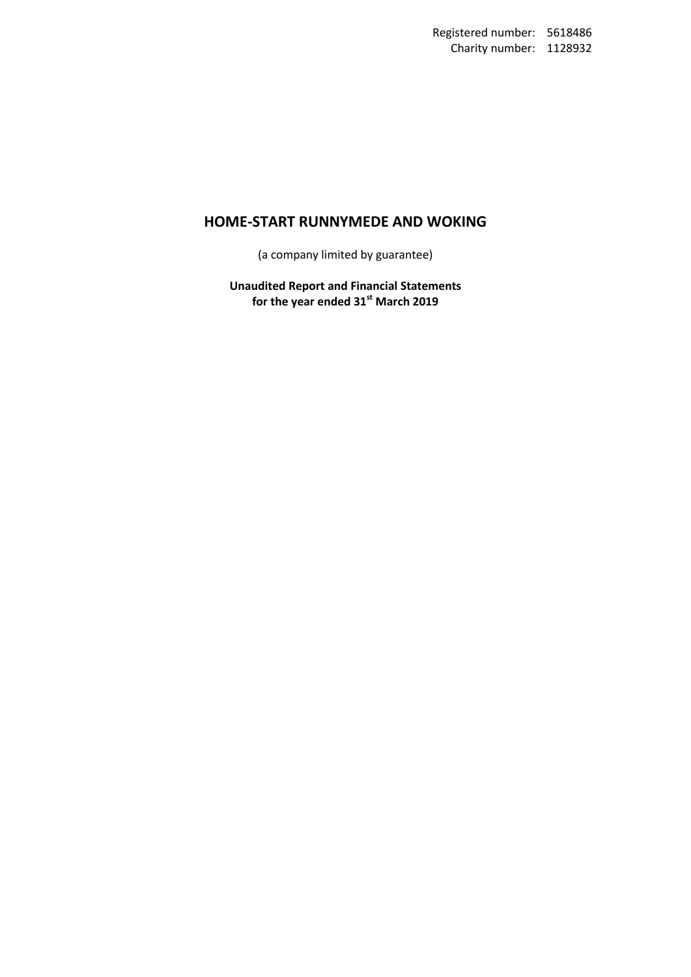(a company limited by guarantee)

**Unaudited Report and Financial Statements for the year ended 31st March 2019**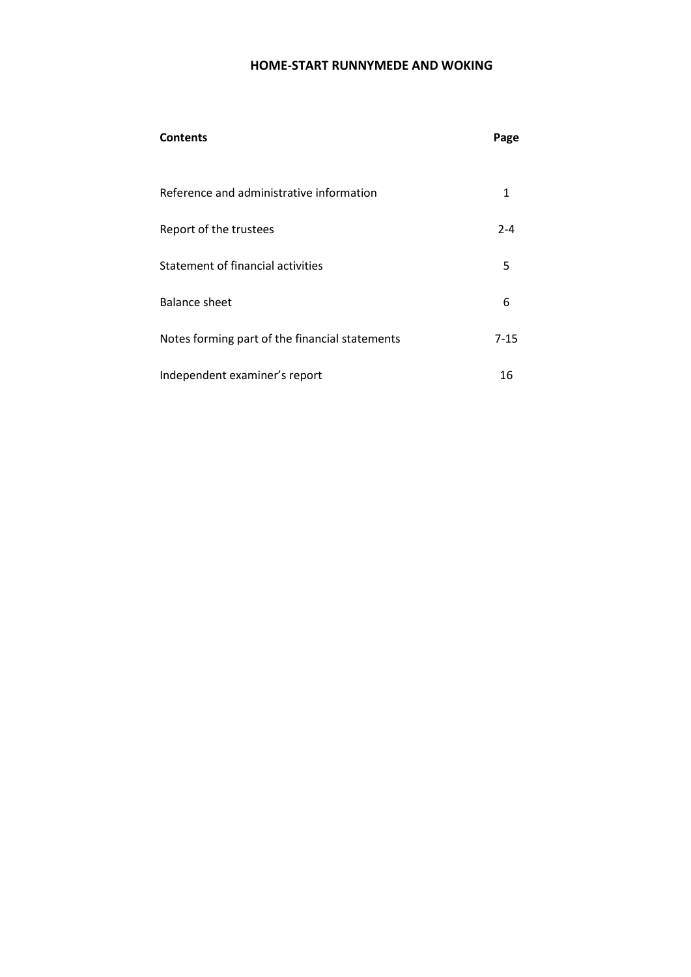| <b>Contents</b>                                | Page     |
|------------------------------------------------|----------|
| Reference and administrative information       | 1        |
| Report of the trustees                         | $2 - 4$  |
| Statement of financial activities              | 5        |
| Balance sheet                                  | 6        |
| Notes forming part of the financial statements | $7 - 15$ |
| Independent examiner's report                  | 16       |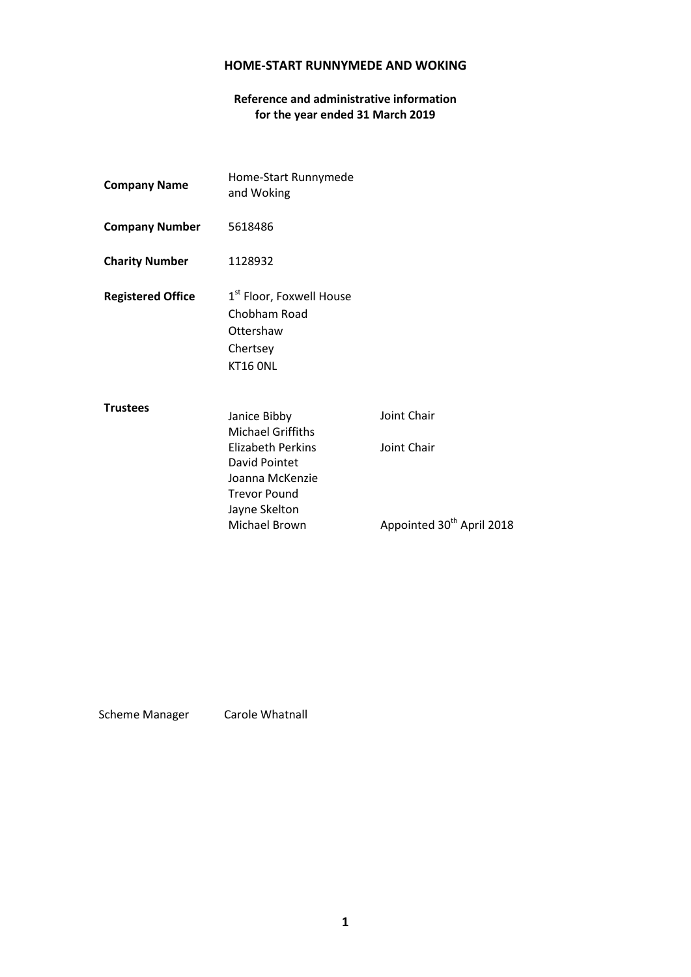# **Reference and administrative information for the year ended 31 March 2019**

| <b>Company Name</b>      | Home-Start Runnymede<br>and Woking                                                                                                                                |                                                                     |
|--------------------------|-------------------------------------------------------------------------------------------------------------------------------------------------------------------|---------------------------------------------------------------------|
| <b>Company Number</b>    | 5618486                                                                                                                                                           |                                                                     |
| <b>Charity Number</b>    | 1128932                                                                                                                                                           |                                                                     |
| <b>Registered Office</b> | 1 <sup>st</sup> Floor, Foxwell House<br>Chobham Road<br>Ottershaw<br>Chertsey<br><b>KT16 ONL</b>                                                                  |                                                                     |
| <b>Trustees</b>          | Janice Bibby<br><b>Michael Griffiths</b><br><b>Elizabeth Perkins</b><br>David Pointet<br>Joanna McKenzie<br><b>Trevor Pound</b><br>Jayne Skelton<br>Michael Brown | Joint Chair<br>Joint Chair<br>Appointed 30 <sup>th</sup> April 2018 |

Scheme Manager Carole Whatnall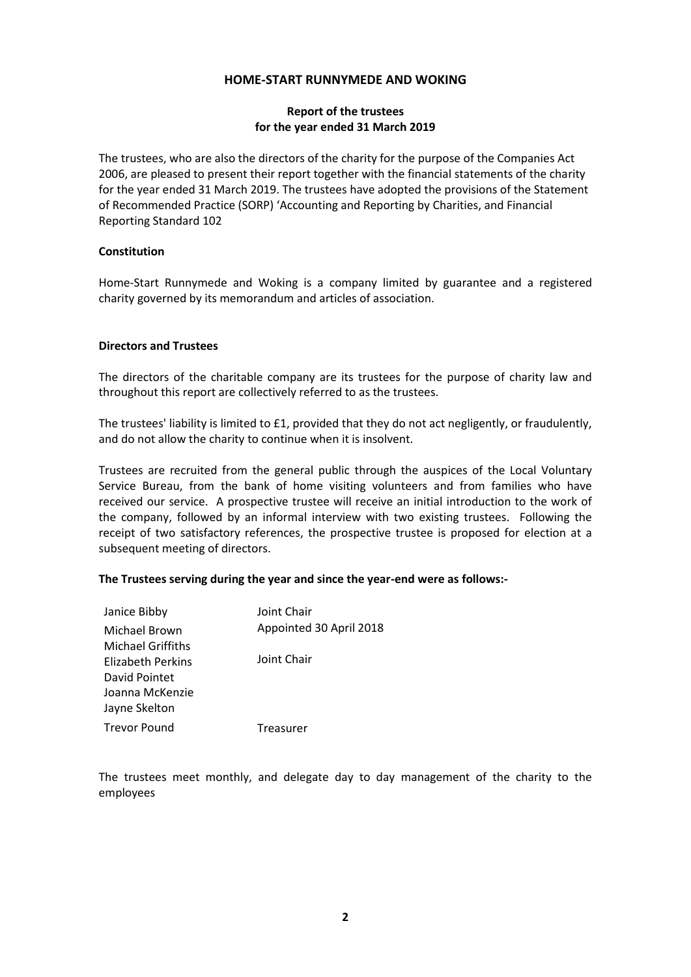## **Report of the trustees for the year ended 31 March 2019**

The trustees, who are also the directors of the charity for the purpose of the Companies Act 2006, are pleased to present their report together with the financial statements of the charity for the year ended 31 March 2019. The trustees have adopted the provisions of the Statement of Recommended Practice (SORP) 'Accounting and Reporting by Charities, and Financial Reporting Standard 102

## **Constitution**

Home-Start Runnymede and Woking is a company limited by guarantee and a registered charity governed by its memorandum and articles of association.

## **Directors and Trustees**

The directors of the charitable company are its trustees for the purpose of charity law and throughout this report are collectively referred to as the trustees.

The trustees' liability is limited to £1, provided that they do not act negligently, or fraudulently, and do not allow the charity to continue when it is insolvent.

Trustees are recruited from the general public through the auspices of the Local Voluntary Service Bureau, from the bank of home visiting volunteers and from families who have received our service. A prospective trustee will receive an initial introduction to the work of the company, followed by an informal interview with two existing trustees. Following the receipt of two satisfactory references, the prospective trustee is proposed for election at a subsequent meeting of directors.

## **The Trustees serving during the year and since the year-end were as follows:-**

| Janice Bibby             | Joint Chair             |
|--------------------------|-------------------------|
| Michael Brown            | Appointed 30 April 2018 |
| <b>Michael Griffiths</b> |                         |
| Elizabeth Perkins        | Joint Chair             |
| David Pointet            |                         |
| Joanna McKenzie          |                         |
| Jayne Skelton            |                         |
| <b>Trevor Pound</b>      | Treasurer               |
|                          |                         |

The trustees meet monthly, and delegate day to day management of the charity to the employees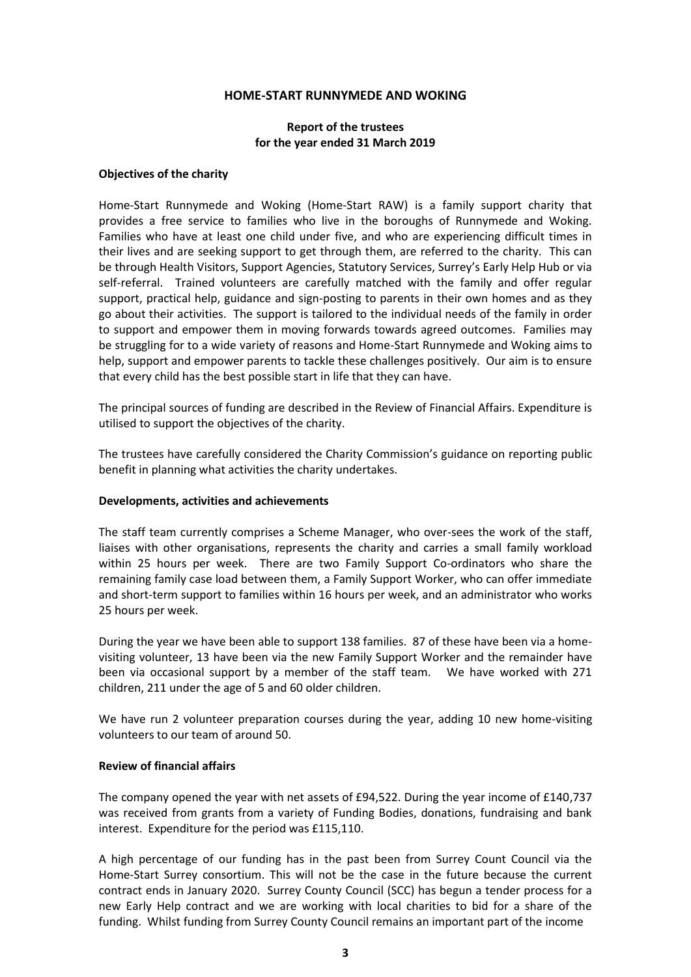## **Report of the trustees for the year ended 31 March 2019**

### **Objectives of the charity**

Home-Start Runnymede and Woking (Home-Start RAW) is a family support charity that provides a free service to families who live in the boroughs of Runnymede and Woking. Families who have at least one child under five, and who are experiencing difficult times in their lives and are seeking support to get through them, are referred to the charity. This can be through Health Visitors, Support Agencies, Statutory Services, Surrey's Early Help Hub or via self-referral. Trained volunteers are carefully matched with the family and offer regular support, practical help, guidance and sign-posting to parents in their own homes and as they go about their activities. The support is tailored to the individual needs of the family in order to support and empower them in moving forwards towards agreed outcomes. Families may be struggling for to a wide variety of reasons and Home-Start Runnymede and Woking aims to help, support and empower parents to tackle these challenges positively. Our aim is to ensure that every child has the best possible start in life that they can have.

The principal sources of funding are described in the Review of Financial Affairs. Expenditure is utilised to support the objectives of the charity.

The trustees have carefully considered the Charity Commission's guidance on reporting public benefit in planning what activities the charity undertakes.

#### **Developments, activities and achievements**

The staff team currently comprises a Scheme Manager, who over-sees the work of the staff, liaises with other organisations, represents the charity and carries a small family workload within 25 hours per week. There are two Family Support Co-ordinators who share the remaining family case load between them, a Family Support Worker, who can offer immediate and short-term support to families within 16 hours per week, and an administrator who works 25 hours per week.

During the year we have been able to support 138 families. 87 of these have been via a homevisiting volunteer, 13 have been via the new Family Support Worker and the remainder have been via occasional support by a member of the staff team. We have worked with 271 children, 211 under the age of 5 and 60 older children.

We have run 2 volunteer preparation courses during the year, adding 10 new home-visiting volunteers to our team of around 50.

#### **Review of financial affairs**

The company opened the year with net assets of £94,522. During the year income of £140,737 was received from grants from a variety of Funding Bodies, donations, fundraising and bank interest. Expenditure for the period was £115,110.

A high percentage of our funding has in the past been from Surrey Count Council via the Home-Start Surrey consortium. This will not be the case in the future because the current contract ends in January 2020. Surrey County Council (SCC) has begun a tender process for a new Early Help contract and we are working with local charities to bid for a share of the funding. Whilst funding from Surrey County Council remains an important part of the income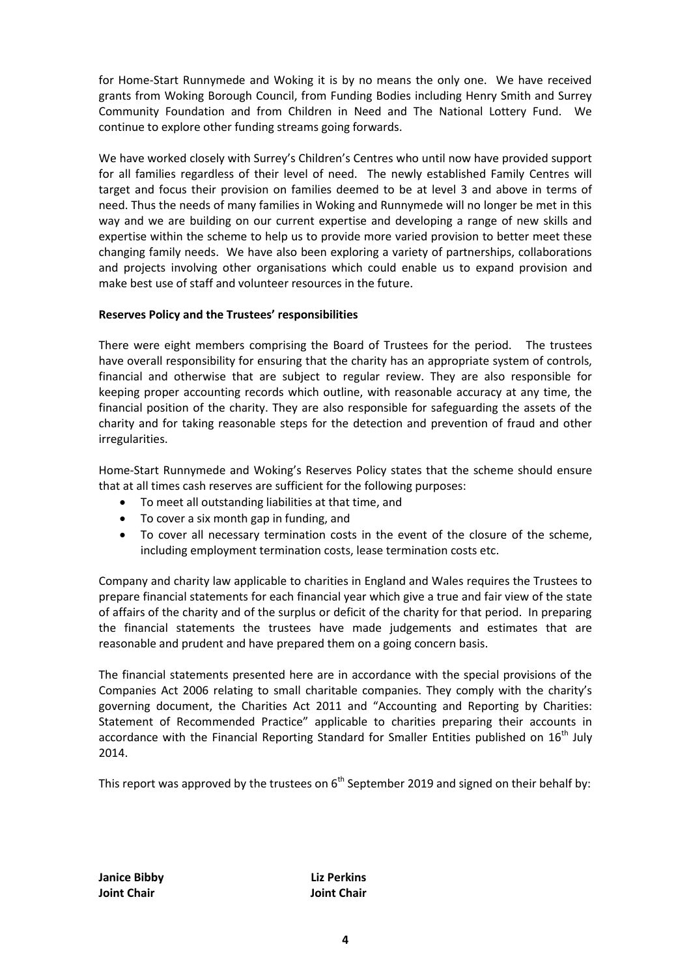for Home-Start Runnymede and Woking it is by no means the only one. We have received grants from Woking Borough Council, from Funding Bodies including Henry Smith and Surrey Community Foundation and from Children in Need and The National Lottery Fund. We continue to explore other funding streams going forwards.

We have worked closely with Surrey's Children's Centres who until now have provided support for all families regardless of their level of need. The newly established Family Centres will target and focus their provision on families deemed to be at level 3 and above in terms of need. Thus the needs of many families in Woking and Runnymede will no longer be met in this way and we are building on our current expertise and developing a range of new skills and expertise within the scheme to help us to provide more varied provision to better meet these changing family needs. We have also been exploring a variety of partnerships, collaborations and projects involving other organisations which could enable us to expand provision and make best use of staff and volunteer resources in the future.

## **Reserves Policy and the Trustees' responsibilities**

There were eight members comprising the Board of Trustees for the period. The trustees have overall responsibility for ensuring that the charity has an appropriate system of controls, financial and otherwise that are subject to regular review. They are also responsible for keeping proper accounting records which outline, with reasonable accuracy at any time, the financial position of the charity. They are also responsible for safeguarding the assets of the charity and for taking reasonable steps for the detection and prevention of fraud and other irregularities.

Home-Start Runnymede and Woking's Reserves Policy states that the scheme should ensure that at all times cash reserves are sufficient for the following purposes:

- To meet all outstanding liabilities at that time, and
- To cover a six month gap in funding, and
- To cover all necessary termination costs in the event of the closure of the scheme, including employment termination costs, lease termination costs etc.

Company and charity law applicable to charities in England and Wales requires the Trustees to prepare financial statements for each financial year which give a true and fair view of the state of affairs of the charity and of the surplus or deficit of the charity for that period. In preparing the financial statements the trustees have made judgements and estimates that are reasonable and prudent and have prepared them on a going concern basis.

The financial statements presented here are in accordance with the special provisions of the Companies Act 2006 relating to small charitable companies. They comply with the charity's governing document, the Charities Act 2011 and "Accounting and Reporting by Charities: Statement of Recommended Practice" applicable to charities preparing their accounts in accordance with the Financial Reporting Standard for Smaller Entities published on  $16<sup>th</sup>$  July 2014.

This report was approved by the trustees on 6<sup>th</sup> September 2019 and signed on their behalf by:

**Janice Bibby Liz Perkins Joint Chair Joint Chair**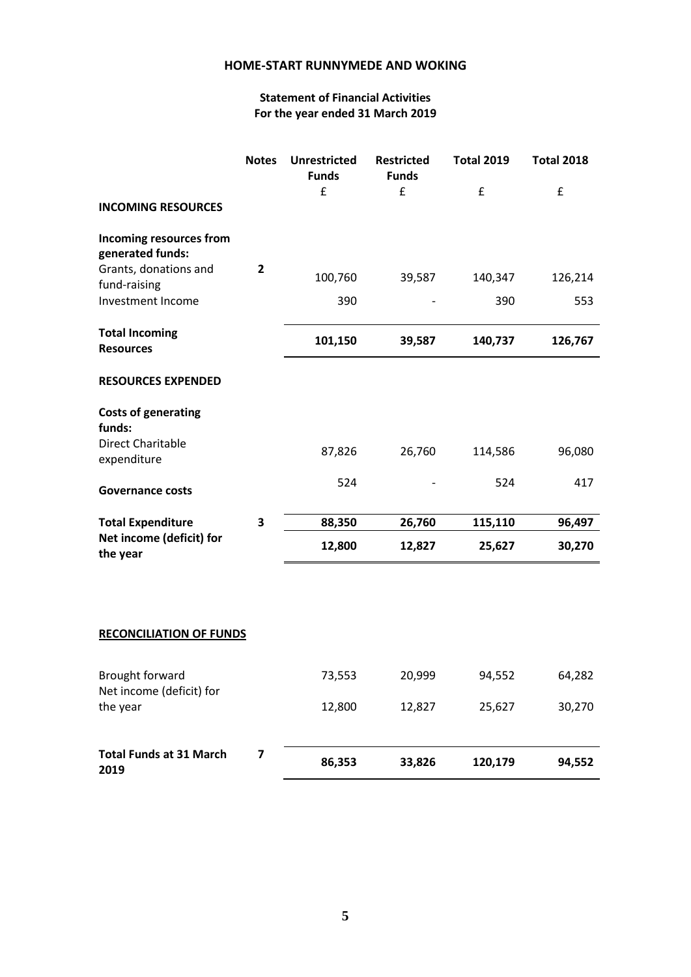# **Statement of Financial Activities For the year ended 31 March 2019**

|                                             | <b>Notes</b>   | <b>Unrestricted</b><br><b>Funds</b> | <b>Restricted</b><br><b>Funds</b> | <b>Total 2019</b> | <b>Total 2018</b> |
|---------------------------------------------|----------------|-------------------------------------|-----------------------------------|-------------------|-------------------|
| <b>INCOMING RESOURCES</b>                   |                | £                                   | £                                 | £                 | £                 |
| Incoming resources from<br>generated funds: |                |                                     |                                   |                   |                   |
| Grants, donations and<br>fund-raising       | $\overline{2}$ | 100,760                             | 39,587                            | 140,347           | 126,214           |
| Investment Income                           |                | 390                                 |                                   | 390               | 553               |
| <b>Total Incoming</b><br><b>Resources</b>   |                | 101,150                             | 39,587                            | 140,737           | 126,767           |
| <b>RESOURCES EXPENDED</b>                   |                |                                     |                                   |                   |                   |
| <b>Costs of generating</b><br>funds:        |                |                                     |                                   |                   |                   |
| <b>Direct Charitable</b><br>expenditure     |                | 87,826                              | 26,760                            | 114,586           | 96,080            |
| <b>Governance costs</b>                     |                | 524                                 |                                   | 524               | 417               |
| <b>Total Expenditure</b>                    | 3              | 88,350                              | 26,760                            | 115,110           | 96,497            |
| Net income (deficit) for<br>the year        |                | 12,800                              | 12,827                            | 25,627            | 30,270            |
|                                             |                |                                     |                                   |                   |                   |

# **RECONCILIATION OF FUNDS**

| Brought forward                        |  | 73,553 | 20.999 | 94,552  | 64,282 |
|----------------------------------------|--|--------|--------|---------|--------|
| Net income (deficit) for<br>the year   |  | 12,800 | 12,827 | 25,627  | 30,270 |
|                                        |  |        |        |         |        |
| <b>Total Funds at 31 March</b><br>2019 |  | 86,353 | 33,826 | 120,179 | 94,552 |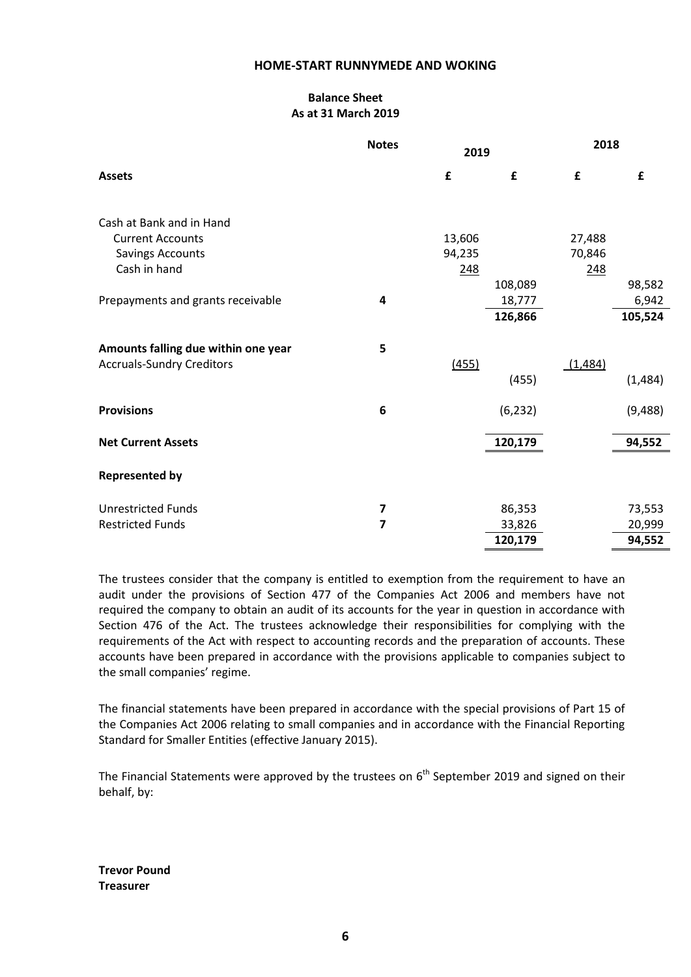# **Balance Sheet As at 31 March 2019**

|                                     | <b>Notes</b> | 2019   |          | 2018    |         |
|-------------------------------------|--------------|--------|----------|---------|---------|
| <b>Assets</b>                       |              | £      | £        | £       | £       |
| Cash at Bank and in Hand            |              |        |          |         |         |
| <b>Current Accounts</b>             |              | 13,606 |          | 27,488  |         |
| <b>Savings Accounts</b>             |              | 94,235 |          | 70,846  |         |
| Cash in hand                        |              | 248    |          | 248     |         |
|                                     |              |        | 108,089  |         | 98,582  |
| Prepayments and grants receivable   | 4            |        | 18,777   |         | 6,942   |
|                                     |              |        | 126,866  |         | 105,524 |
| Amounts falling due within one year | 5            |        |          |         |         |
| <b>Accruals-Sundry Creditors</b>    |              | (455)  |          | (1,484) |         |
|                                     |              |        | (455)    |         | (1,484) |
| <b>Provisions</b>                   | 6            |        | (6, 232) |         | (9,488) |
| <b>Net Current Assets</b>           |              |        | 120,179  |         | 94,552  |
| <b>Represented by</b>               |              |        |          |         |         |
| <b>Unrestricted Funds</b>           | 7            |        | 86,353   |         | 73,553  |
| <b>Restricted Funds</b>             | 7            |        | 33,826   |         | 20,999  |
|                                     |              |        | 120,179  |         | 94,552  |

The trustees consider that the company is entitled to exemption from the requirement to have an audit under the provisions of Section 477 of the Companies Act 2006 and members have not required the company to obtain an audit of its accounts for the year in question in accordance with Section 476 of the Act. The trustees acknowledge their responsibilities for complying with the requirements of the Act with respect to accounting records and the preparation of accounts. These accounts have been prepared in accordance with the provisions applicable to companies subject to the small companies' regime.

The financial statements have been prepared in accordance with the special provisions of Part 15 of the Companies Act 2006 relating to small companies and in accordance with the Financial Reporting Standard for Smaller Entities (effective January 2015).

The Financial Statements were approved by the trustees on  $6<sup>th</sup>$  September 2019 and signed on their behalf, by:

**Trevor Pound Treasurer**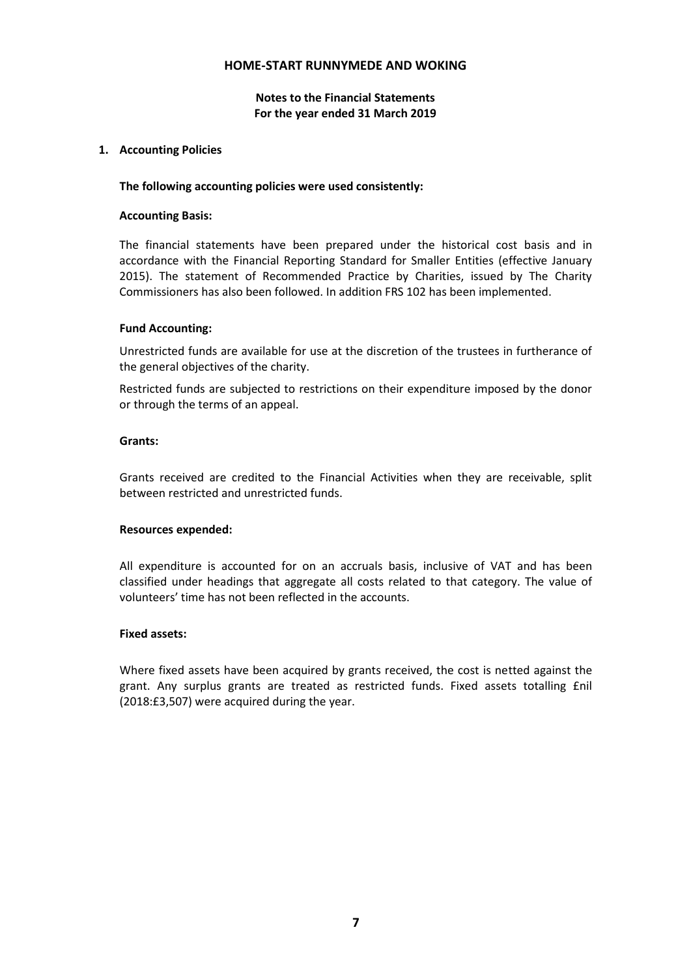## **Notes to the Financial Statements For the year ended 31 March 2019**

## **1. Accounting Policies**

### **The following accounting policies were used consistently:**

### **Accounting Basis:**

The financial statements have been prepared under the historical cost basis and in accordance with the Financial Reporting Standard for Smaller Entities (effective January 2015). The statement of Recommended Practice by Charities, issued by The Charity Commissioners has also been followed. In addition FRS 102 has been implemented.

### **Fund Accounting:**

Unrestricted funds are available for use at the discretion of the trustees in furtherance of the general objectives of the charity.

Restricted funds are subjected to restrictions on their expenditure imposed by the donor or through the terms of an appeal.

### **Grants:**

Grants received are credited to the Financial Activities when they are receivable, split between restricted and unrestricted funds.

#### **Resources expended:**

All expenditure is accounted for on an accruals basis, inclusive of VAT and has been classified under headings that aggregate all costs related to that category. The value of volunteers' time has not been reflected in the accounts.

### **Fixed assets:**

Where fixed assets have been acquired by grants received, the cost is netted against the grant. Any surplus grants are treated as restricted funds. Fixed assets totalling £nil (2018:£3,507) were acquired during the year.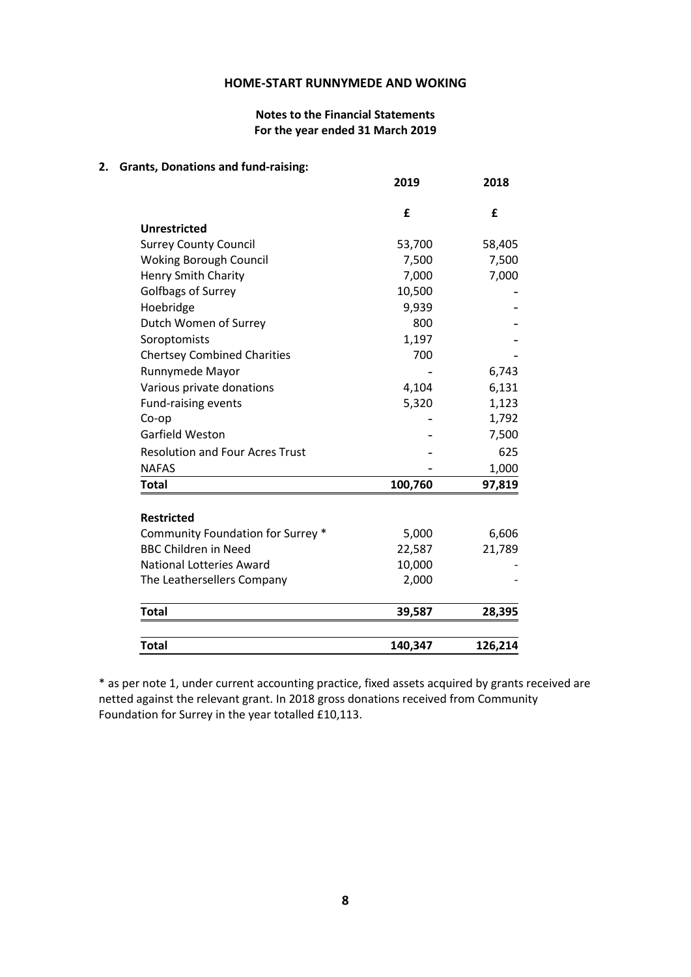## **Notes to the Financial Statements For the year ended 31 March 2019**

## **2. Grants, Donations and fund-raising:**

|                                        | 2019    | 2018    |
|----------------------------------------|---------|---------|
|                                        | £       | £       |
| Unrestricted                           |         |         |
| <b>Surrey County Council</b>           | 53,700  | 58,405  |
| <b>Woking Borough Council</b>          | 7,500   | 7,500   |
| <b>Henry Smith Charity</b>             | 7,000   | 7,000   |
| Golfbags of Surrey                     | 10,500  |         |
| Hoebridge                              | 9,939   |         |
| Dutch Women of Surrey                  | 800     |         |
| Soroptomists                           | 1,197   |         |
| <b>Chertsey Combined Charities</b>     | 700     |         |
| Runnymede Mayor                        |         | 6,743   |
| Various private donations              | 4,104   | 6,131   |
| <b>Fund-raising events</b>             | 5,320   | 1,123   |
| Co-op                                  |         | 1,792   |
| <b>Garfield Weston</b>                 |         | 7,500   |
| <b>Resolution and Four Acres Trust</b> |         | 625     |
| <b>NAFAS</b>                           |         | 1,000   |
| <b>Total</b>                           | 100,760 | 97,819  |
| <b>Restricted</b>                      |         |         |
| Community Foundation for Surrey *      | 5,000   | 6,606   |
| <b>BBC Children in Need</b>            | 22,587  | 21,789  |
| <b>National Lotteries Award</b>        | 10,000  |         |
| The Leathersellers Company             | 2,000   |         |
|                                        |         |         |
| <b>Total</b>                           | 39,587  | 28,395  |
| <b>Total</b>                           | 140,347 | 126,214 |

\* as per note 1, under current accounting practice, fixed assets acquired by grants received are netted against the relevant grant. In 2018 gross donations received from Community Foundation for Surrey in the year totalled £10,113.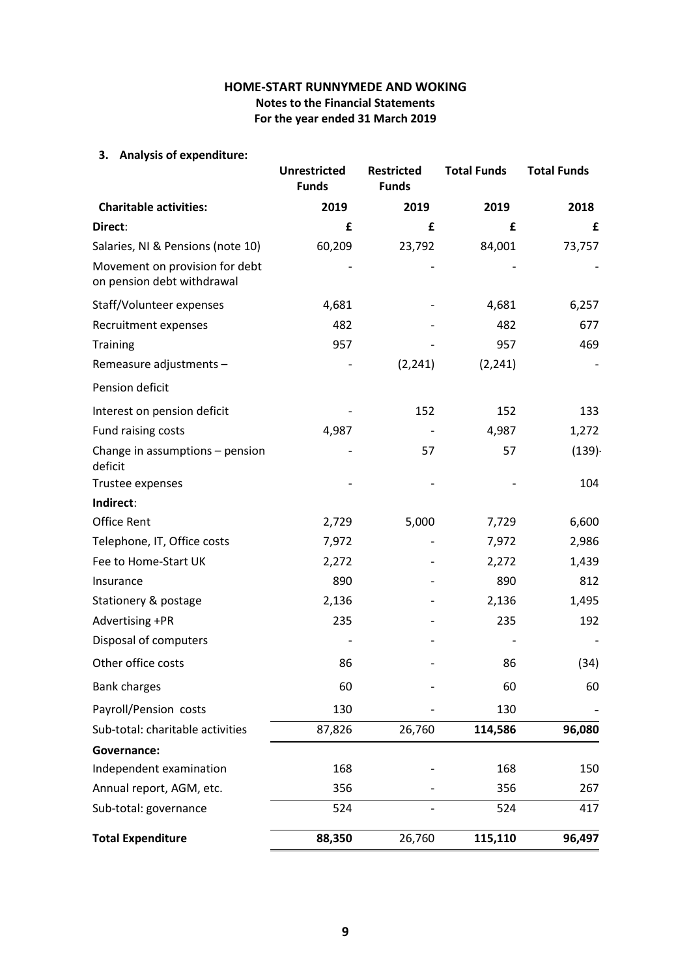# **HOME-START RUNNYMEDE AND WOKING Notes to the Financial Statements For the year ended 31 March 2019**

# **3. Analysis of expenditure:**

|                                                              | <b>Unrestricted</b><br><b>Funds</b> | <b>Restricted</b><br><b>Funds</b> | <b>Total Funds</b> | <b>Total Funds</b> |
|--------------------------------------------------------------|-------------------------------------|-----------------------------------|--------------------|--------------------|
| <b>Charitable activities:</b>                                | 2019                                | 2019                              | 2019               | 2018               |
| Direct:                                                      | £                                   | £                                 | £                  | £                  |
| Salaries, NI & Pensions (note 10)                            | 60,209                              | 23,792                            | 84,001             | 73,757             |
| Movement on provision for debt<br>on pension debt withdrawal |                                     |                                   |                    |                    |
| Staff/Volunteer expenses                                     | 4,681                               |                                   | 4,681              | 6,257              |
| Recruitment expenses                                         | 482                                 |                                   | 482                | 677                |
| <b>Training</b>                                              | 957                                 |                                   | 957                | 469                |
| Remeasure adjustments -                                      |                                     | (2, 241)                          | (2, 241)           |                    |
| Pension deficit                                              |                                     |                                   |                    |                    |
| Interest on pension deficit                                  |                                     | 152                               | 152                | 133                |
| Fund raising costs                                           | 4,987                               |                                   | 4,987              | 1,272              |
| Change in assumptions - pension<br>deficit                   |                                     | 57                                | 57                 | (139)              |
| Trustee expenses                                             |                                     |                                   |                    | 104                |
| Indirect:                                                    |                                     |                                   |                    |                    |
| <b>Office Rent</b>                                           | 2,729                               | 5,000                             | 7,729              | 6,600              |
| Telephone, IT, Office costs                                  | 7,972                               |                                   | 7,972              | 2,986              |
| Fee to Home-Start UK                                         | 2,272                               |                                   | 2,272              | 1,439              |
| Insurance                                                    | 890                                 |                                   | 890                | 812                |
| Stationery & postage                                         | 2,136                               |                                   | 2,136              | 1,495              |
| Advertising +PR                                              | 235                                 |                                   | 235                | 192                |
| Disposal of computers                                        |                                     |                                   |                    |                    |
| Other office costs                                           | 86                                  |                                   | 86                 | (34)               |
| <b>Bank charges</b>                                          | 60                                  |                                   | 60                 | 60                 |
| Payroll/Pension costs                                        | 130                                 |                                   | 130                |                    |
| Sub-total: charitable activities                             | 87,826                              | 26,760                            | 114,586            | 96,080             |
| Governance:                                                  |                                     |                                   |                    |                    |
| Independent examination                                      | 168                                 |                                   | 168                | 150                |
| Annual report, AGM, etc.                                     | 356                                 |                                   | 356                | 267                |
| Sub-total: governance                                        | 524                                 |                                   | 524                | 417                |
| <b>Total Expenditure</b>                                     | 88,350                              | 26,760                            | 115,110            | 96,497             |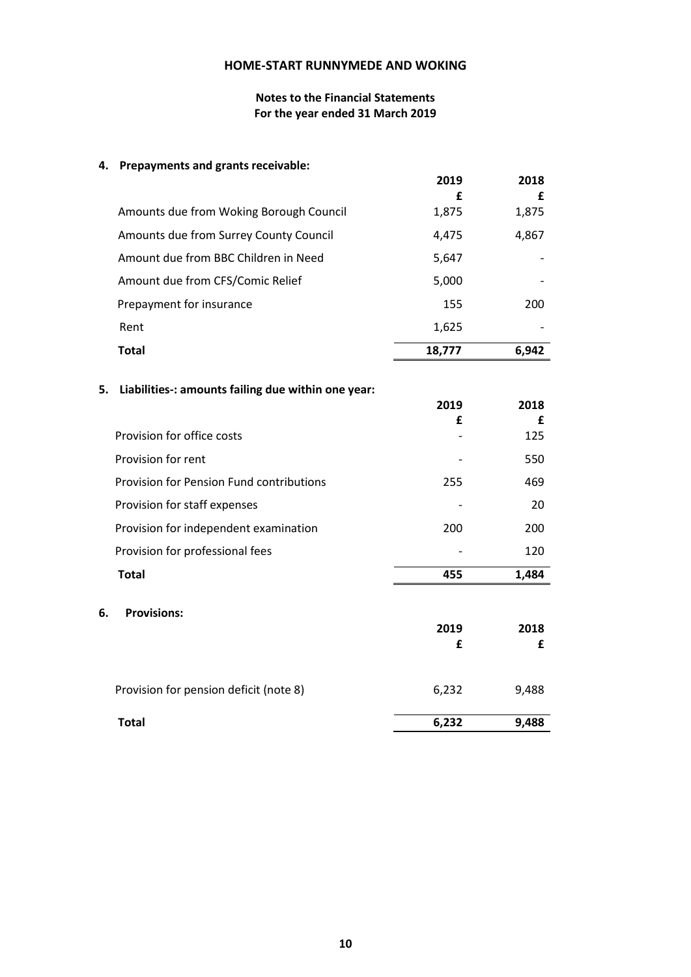## **Notes to the Financial Statements For the year ended 31 March 2019**

# **4. Prepayments and grants receivable:**

|                                         | 2019       | 2018       |
|-----------------------------------------|------------|------------|
| Amounts due from Woking Borough Council | £<br>1,875 | £<br>1,875 |
| Amounts due from Surrey County Council  | 4.475      | 4,867      |
| Amount due from BBC Children in Need    | 5,647      |            |
| Amount due from CFS/Comic Relief        | 5,000      |            |
|                                         |            |            |
| Prepayment for insurance                | 155        | 200        |
| Rent                                    | 1,625      |            |
| Total                                   | 18,777     | 6.942      |

|    | 5. Liabilities-: amounts failing due within one year: |       |       |
|----|-------------------------------------------------------|-------|-------|
|    |                                                       | 2019  | 2018  |
|    |                                                       | £     | £     |
|    | Provision for office costs                            |       | 125   |
|    | Provision for rent                                    |       | 550   |
|    | <b>Provision for Pension Fund contributions</b>       | 255   | 469   |
|    | Provision for staff expenses                          |       | 20    |
|    | Provision for independent examination                 | 200   | 200   |
|    | Provision for professional fees                       |       | 120   |
|    | <b>Total</b>                                          | 455   | 1,484 |
| 6. | <b>Provisions:</b>                                    |       |       |
|    |                                                       | 2019  | 2018  |
|    |                                                       | £     | £     |
|    |                                                       |       |       |
|    | Provision for pension deficit (note 8)                | 6,232 | 9,488 |
|    | <b>Total</b>                                          | 6,232 | 9,488 |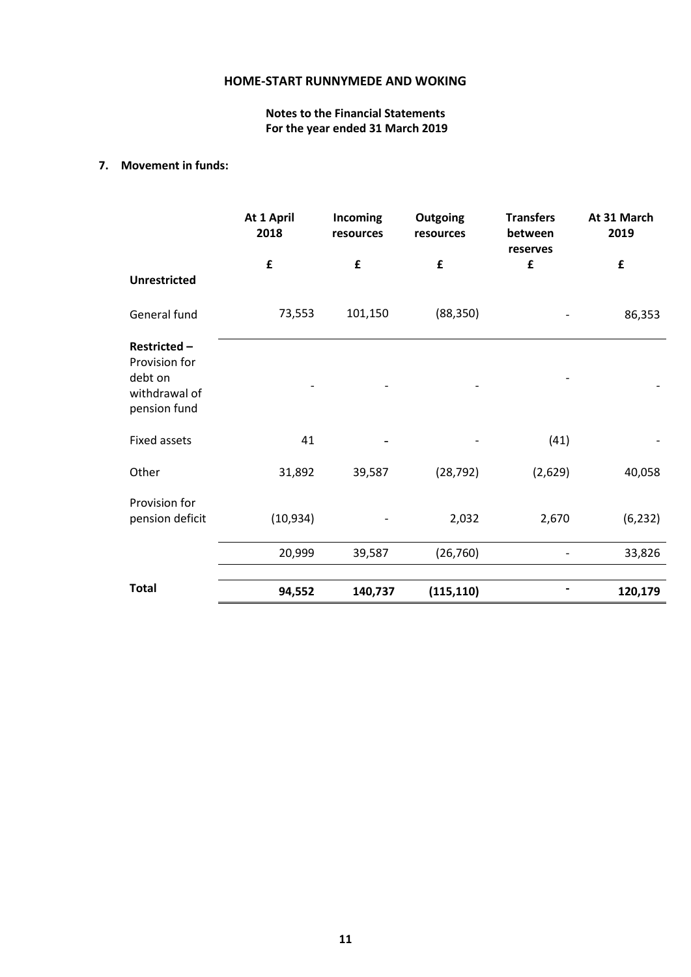# **Notes to the Financial Statements For the year ended 31 March 2019**

## **7. Movement in funds:**

|                                                                          | At 1 April<br>2018 | Incoming<br>resources | <b>Outgoing</b><br>resources | <b>Transfers</b><br>between<br>reserves | At 31 March<br>2019 |
|--------------------------------------------------------------------------|--------------------|-----------------------|------------------------------|-----------------------------------------|---------------------|
|                                                                          | £                  | £                     | £                            | £                                       | £                   |
| <b>Unrestricted</b>                                                      |                    |                       |                              |                                         |                     |
| General fund                                                             | 73,553             | 101,150               | (88, 350)                    |                                         | 86,353              |
| Restricted-<br>Provision for<br>debt on<br>withdrawal of<br>pension fund |                    |                       |                              |                                         |                     |
| Fixed assets                                                             | 41                 |                       |                              | (41)                                    |                     |
| Other                                                                    | 31,892             | 39,587                | (28, 792)                    | (2,629)                                 | 40,058              |
| Provision for<br>pension deficit                                         | (10, 934)          |                       | 2,032                        | 2,670                                   | (6, 232)            |
|                                                                          | 20,999             | 39,587                | (26, 760)                    |                                         | 33,826              |
| <b>Total</b>                                                             | 94,552             | 140,737               | (115, 110)                   |                                         | 120,179             |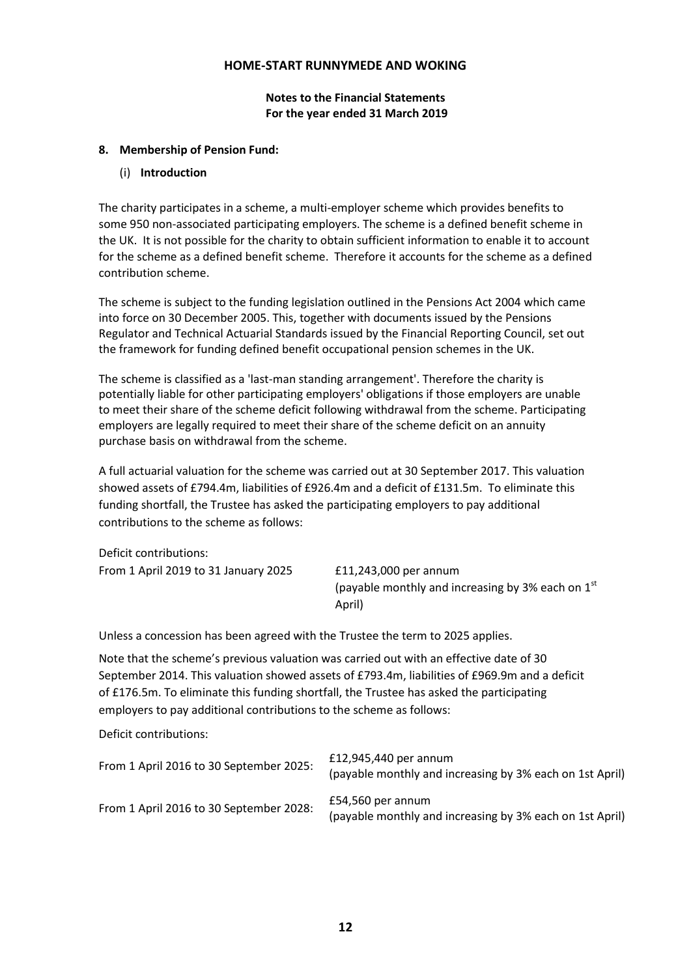**Notes to the Financial Statements For the year ended 31 March 2019**

## **8. Membership of Pension Fund:**

## (i) **Introduction**

The charity participates in a scheme, a multi-employer scheme which provides benefits to some 950 non-associated participating employers. The scheme is a defined benefit scheme in the UK. It is not possible for the charity to obtain sufficient information to enable it to account for the scheme as a defined benefit scheme. Therefore it accounts for the scheme as a defined contribution scheme.

The scheme is subject to the funding legislation outlined in the Pensions Act 2004 which came into force on 30 December 2005. This, together with documents issued by the Pensions Regulator and Technical Actuarial Standards issued by the Financial Reporting Council, set out the framework for funding defined benefit occupational pension schemes in the UK.

The scheme is classified as a 'last-man standing arrangement'. Therefore the charity is potentially liable for other participating employers' obligations if those employers are unable to meet their share of the scheme deficit following withdrawal from the scheme. Participating employers are legally required to meet their share of the scheme deficit on an annuity purchase basis on withdrawal from the scheme.

A full actuarial valuation for the scheme was carried out at 30 September 2017. This valuation showed assets of £794.4m, liabilities of £926.4m and a deficit of £131.5m. To eliminate this funding shortfall, the Trustee has asked the participating employers to pay additional contributions to the scheme as follows:

Deficit contributions: From 1 April 2019 to 31 January 2025 £11,243,000 per annum

(payable monthly and increasing by 3% each on  $1<sup>st</sup>$ April)

Unless a concession has been agreed with the Trustee the term to 2025 applies.

Note that the scheme's previous valuation was carried out with an effective date of 30 September 2014. This valuation showed assets of £793.4m, liabilities of £969.9m and a deficit of £176.5m. To eliminate this funding shortfall, the Trustee has asked the participating employers to pay additional contributions to the scheme as follows:

Deficit contributions:

| From 1 April 2016 to 30 September 2025: | $£12,945,440$ per annum<br>(payable monthly and increasing by 3% each on 1st April) |
|-----------------------------------------|-------------------------------------------------------------------------------------|
| From 1 April 2016 to 30 September 2028: | £54,560 per annum<br>(payable monthly and increasing by 3% each on 1st April)       |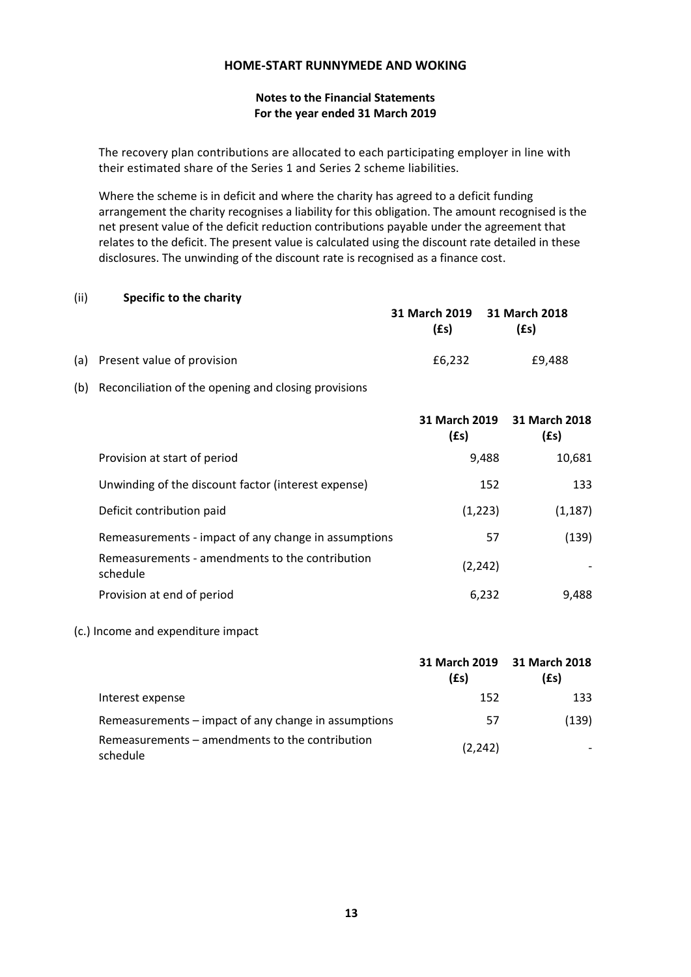## **Notes to the Financial Statements For the year ended 31 March 2019**

The recovery plan contributions are allocated to each participating employer in line with their estimated share of the Series 1 and Series 2 scheme liabilities.

Where the scheme is in deficit and where the charity has agreed to a deficit funding arrangement the charity recognises a liability for this obligation. The amount recognised is the net present value of the deficit reduction contributions payable under the agreement that relates to the deficit. The present value is calculated using the discount rate detailed in these disclosures. The unwinding of the discount rate is recognised as a finance cost.

### (ii) **Specific to the charity**

|                                | 31 March 2019 31 March 2018<br>$(f_s)$ | (£s)   |
|--------------------------------|----------------------------------------|--------|
| (a) Present value of provision | £6.232                                 | £9.488 |

(b) Reconciliation of the opening and closing provisions

|                                                             | $(f_s)$  | 31 March 2019 31 March 2018<br>$(f_s)$ |
|-------------------------------------------------------------|----------|----------------------------------------|
| Provision at start of period                                | 9,488    | 10,681                                 |
| Unwinding of the discount factor (interest expense)         | 152      | 133                                    |
| Deficit contribution paid                                   | (1,223)  | (1, 187)                               |
| Remeasurements - impact of any change in assumptions        | 57       | (139)                                  |
| Remeasurements - amendments to the contribution<br>schedule | (2, 242) |                                        |
| Provision at end of period                                  | 6,232    | 9,488                                  |

## (c.) Income and expenditure impact

|                                                             | $(f_s)$  | 31 March 2019 31 March 2018<br>$(f_s)$ |
|-------------------------------------------------------------|----------|----------------------------------------|
| Interest expense                                            | 152      | 133                                    |
| Remeasurements – impact of any change in assumptions        | 57       | (139)                                  |
| Remeasurements – amendments to the contribution<br>schedule | (2, 242) |                                        |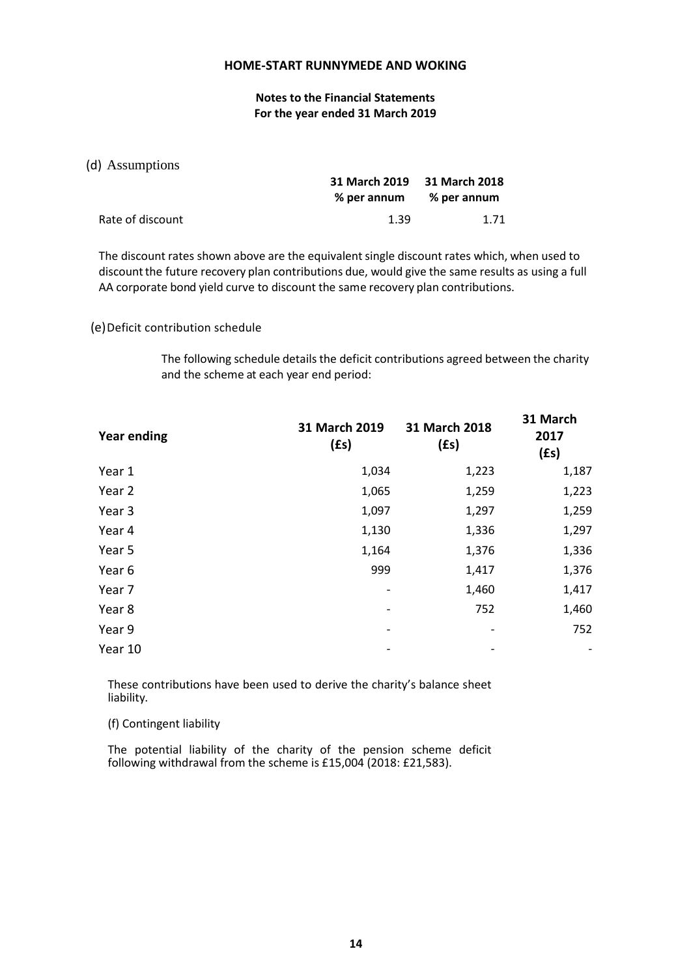**Notes to the Financial Statements For the year ended 31 March 2019**

### (d) Assumptions

|                  | 31 March 2019 31 March 2018 |      |  |
|------------------|-----------------------------|------|--|
|                  | % per annum % per annum     |      |  |
| Rate of discount | 1.39                        | 1.71 |  |

The discount rates shown above are the equivalent single discount rates which, when used to discountthe future recovery plan contributions due, would give the same results as using a full AA corporate bond yield curve to discount the same recovery plan contributions.

### (e)Deficit contribution schedule

The following schedule details the deficit contributions agreed between the charity and the scheme at each year end period:

| <b>Year ending</b> | 31 March 2019<br>$(f_s)$ | 31 March 2018<br>$(f_s)$ | 31 March<br>2017<br>(fs) |
|--------------------|--------------------------|--------------------------|--------------------------|
| Year 1             | 1,034                    | 1,223                    | 1,187                    |
| Year 2             | 1,065                    | 1,259                    | 1,223                    |
| Year 3             | 1,097                    | 1,297                    | 1,259                    |
| Year 4             | 1,130                    | 1,336                    | 1,297                    |
| Year 5             | 1,164                    | 1,376                    | 1,336                    |
| Year 6             | 999                      | 1,417                    | 1,376                    |
| Year 7             |                          | 1,460                    | 1,417                    |
| Year 8             |                          | 752                      | 1,460                    |
| Year 9             |                          |                          | 752                      |
| Year 10            |                          |                          |                          |

These contributions have been used to derive the charity's balance sheet liability.

(f) Contingent liability

The potential liability of the charity of the pension scheme deficit following withdrawal from the scheme is £15,004 (2018: £21,583).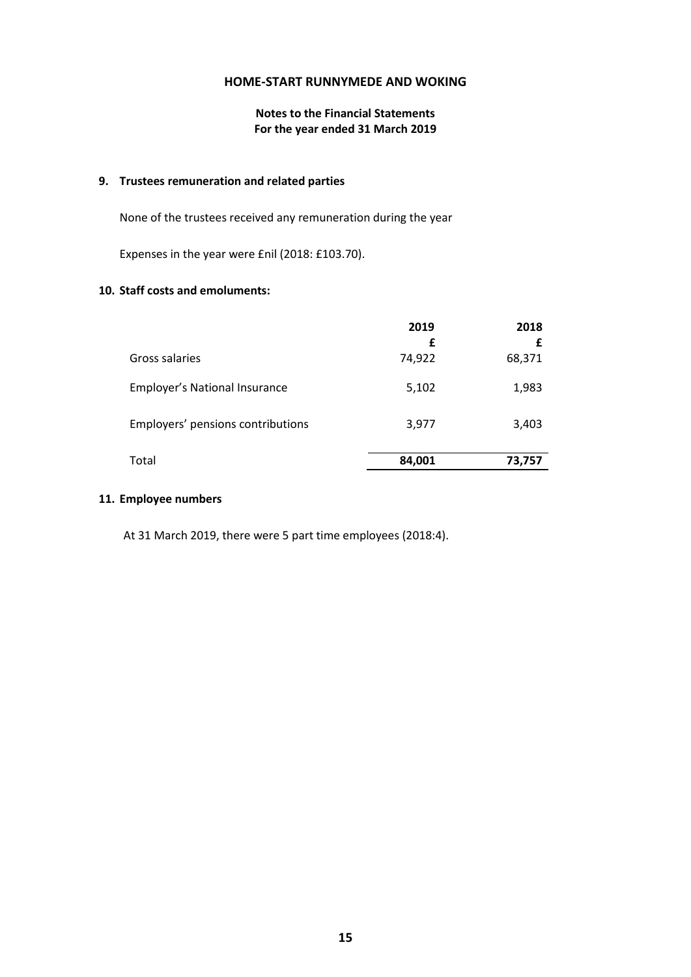# **Notes to the Financial Statements For the year ended 31 March 2019**

### **9. Trustees remuneration and related parties**

None of the trustees received any remuneration during the year

Expenses in the year were £nil (2018: £103.70).

## **10. Staff costs and emoluments:**

|                                      | 2019        | 2018        |
|--------------------------------------|-------------|-------------|
| Gross salaries                       | £<br>74,922 | £<br>68,371 |
| <b>Employer's National Insurance</b> | 5,102       | 1,983       |
| Employers' pensions contributions    | 3,977       | 3,403       |
| Total                                | 84,001      | 73,757      |

### **11. Employee numbers**

At 31 March 2019, there were 5 part time employees (2018:4).